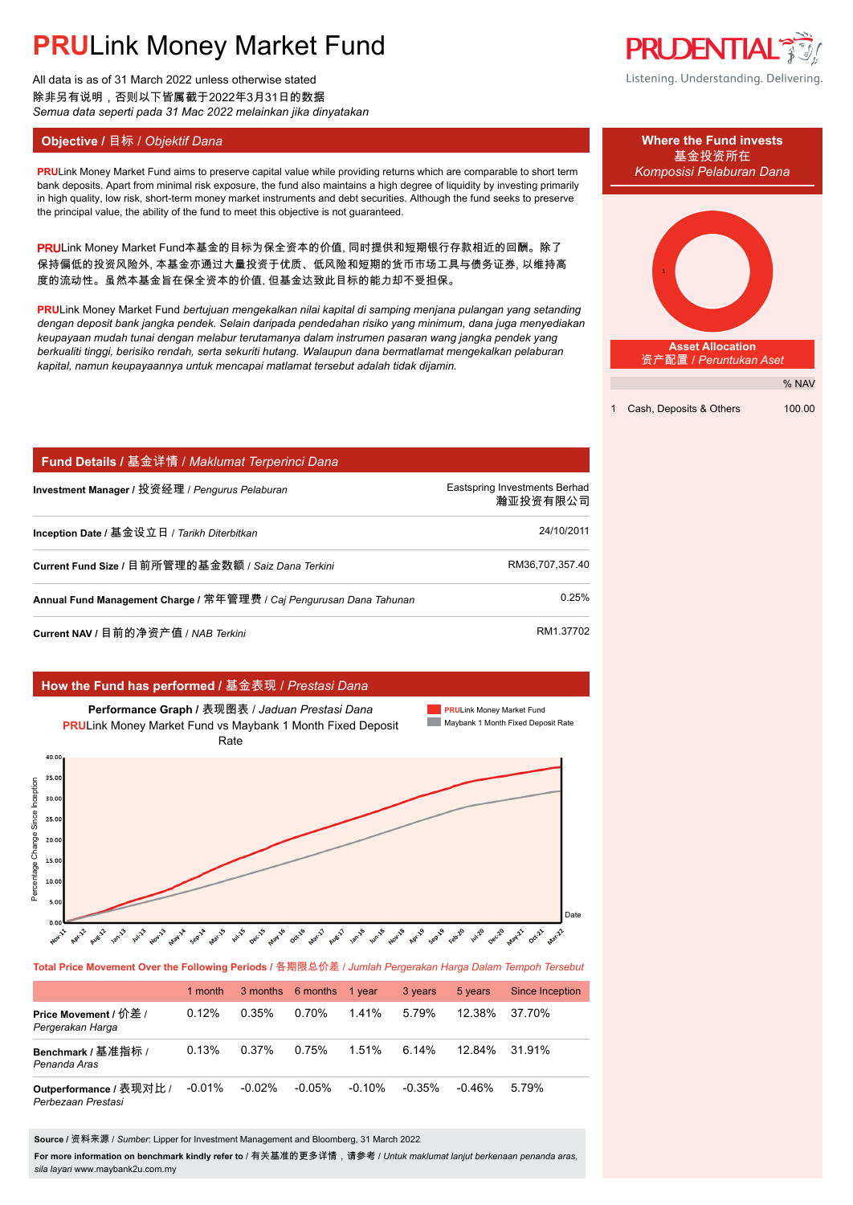# **PRU**Link Money Market Fund

All data is as of 31 March 2022 unless otherwise stated 除非另有说明,否则以下皆属截于2022年3月31日的数据 *Semua data seperti pada 31 Mac 2022 melainkan jika dinyatakan*

**PRU**Link Money Market Fund aims to preserve capital value while providing returns which are comparable to short term *Komposisi Pelaburan Dana* bank deposits. Apart from minimal risk exposure, the fund also maintains a high degree of liquidity by investing primarily in high quality, low risk, short-term money market instruments and debt securities. Although the fund seeks to preserve the principal value, the ability of the fund to meet this objective is not guaranteed.

PRULink Money Market Fund本基金的目标为保全资本的价值, 同时提供和短期银行存款相近的回酬。除了 保持偏低的投资风险外, 本基金亦通过大量投资于优质、低风险和短期的货币市场工具与债务证券, 以维持高 度的流动性。虽然本基金旨在保全资本的价值, 但基金达致此目标的能力却不受担保。

**PRU**Link Money Market Fund *bertujuan mengekalkan nilai kapital di samping menjana pulangan yang setanding dengan deposit bank jangka pendek. Selain daripada pendedahan risiko yang minimum, dana juga menyediakan keupayaan mudah tunai dengan melabur terutamanya dalam instrumen pasaran wang jangka pendek yang berkualiti tinggi, berisiko rendah, serta sekuriti hutang. Walaupun dana bermatlamat mengekalkan pelaburan kapital, namun keupayaannya untuk mencapai matlamat tersebut adalah tidak dijamin.*

| Fund Details / 基金详情 / Maklumat Terperinci Dana                      |                                           |
|---------------------------------------------------------------------|-------------------------------------------|
| Investment Manager / 投资经理 / Pengurus Pelaburan                      | Eastspring Investments Berhad<br>瀚亚投资有限公司 |
| Inception Date / 基金设立日 / Tarikh Diterbitkan                         | 24/10/2011                                |
| Current Fund Size / 目前所管理的基金数额 / Saiz Dana Terkini                  | RM36.707.357.40                           |
| Annual Fund Management Charge / 常年管理费 / Caj Pengurusan Dana Tahunan | 0.25%                                     |
| Current NAV / 目前的净资产值 / NAB Terkini                                 | RM1.37702                                 |

### **How the Fund has performed /** 基金表现 / *Prestasi Dana*



**Total Price Movement Over the Following Periods /** 各期限总价差 / *Jumlah Pergerakan Harga Dalam Tempoh Tersebut*

|                                               | 1 month  |           | 3 months 6 months | 1 year   | 3 years   | 5 years   | Since Inception |
|-----------------------------------------------|----------|-----------|-------------------|----------|-----------|-----------|-----------------|
| Price Movement / 价差 /<br>Pergerakan Harga     | 0.12%    | 0.35%     | 0.70%             | 141%     | 5.79%     | 12.38%    | 37.70%          |
| Benchmark / 基准指标 /<br>Penanda Aras            | 0.13%    | 0.37%     | 0.75%             | 1.51%    | 6.14%     | $12.84\%$ | 31.91%          |
| Outperformance / 表现对比 /<br>Perbezaan Prestasi | $-0.01%$ | $-0.02\%$ | $-0.05%$          | $-0.10%$ | $-0.35\%$ | -0.46%    | 5.79%           |

**Source /** 资料来源 / *Sumber*: Lipper for Investment Management and Bloomberg, 31 March 2022

**For more information on benchmark kindly refer to** / 有关基准的更多详情,请参考 / *Untuk maklumat lanjut berkenaan penanda aras, sila layari* www.maybank2u.com.my



Listening. Understanding. Delivering.



1 Cash, Deposits & Others 100.00